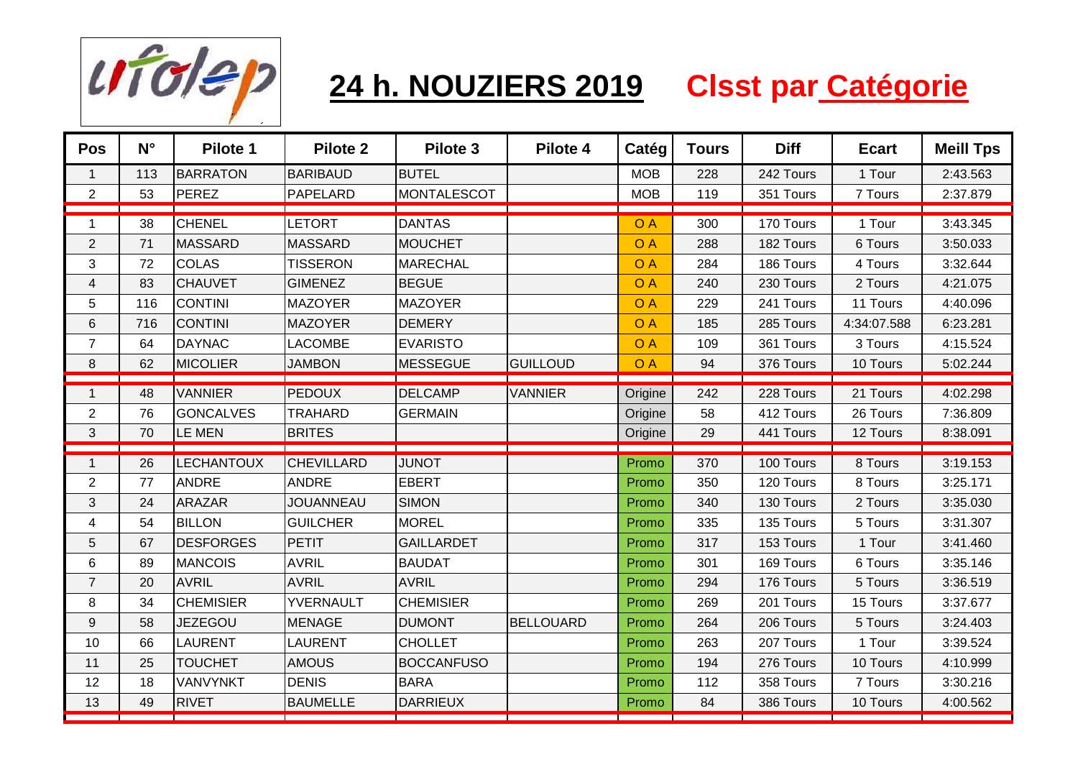

## **24 h. NOUZIERS 2019 Clsst par Catégorie**

| <b>BARIBAUD</b><br><b>BUTEL</b><br><b>BARRATON</b><br><b>MOB</b><br>228<br>113<br>$\mathbf{1}$<br>$\overline{c}$<br>53<br>PEREZ<br>PAPELARD<br><b>MONTALESCOT</b><br><b>MOB</b><br>119<br><b>LETORT</b><br><b>DANTAS</b><br><b>CHENEL</b><br><b>OA</b><br>38<br>300<br>$\mathbf 1$<br><b>OA</b><br>$\overline{2}$<br>71<br>MASSARD<br><b>MASSARD</b><br><b>MOUCHET</b><br>288<br><b>COLAS</b><br>3<br>O A<br>72<br><b>TISSERON</b><br>284<br><b>MARECHAL</b><br>$\overline{\mathbf{4}}$<br><b>CHAUVET</b><br><b>GIMENEZ</b><br><b>BEGUE</b><br>O A<br>83<br>240<br>5<br>116<br><b>CONTINI</b><br><b>OA</b><br><b>MAZOYER</b><br><b>MAZOYER</b><br>229<br>$\,6$<br><b>CONTINI</b><br><b>DEMERY</b><br><b>OA</b><br>716<br><b>MAZOYER</b><br>185<br>$\overline{7}$<br>64<br><b>DAYNAC</b><br><b>LACOMBE</b><br><b>EVARISTO</b><br><b>OA</b><br>109 | 242 Tours<br>1 Tour<br>351 Tours<br>7 Tours<br>170 Tours<br>1 Tour<br>182 Tours<br>6 Tours<br>186 Tours<br>4 Tours<br>230 Tours<br>2 Tours<br>241 Tours<br>11 Tours<br>285 Tours<br>4:34:07.588<br>361 Tours<br>3 Tours<br>376 Tours<br>10 Tours | 2:43.563<br>2:37.879<br>3:43.345<br>3:50.033<br>3:32.644<br>4:21.075<br>4:40.096<br>6:23.281<br>4:15.524<br>5:02.244 |
|--------------------------------------------------------------------------------------------------------------------------------------------------------------------------------------------------------------------------------------------------------------------------------------------------------------------------------------------------------------------------------------------------------------------------------------------------------------------------------------------------------------------------------------------------------------------------------------------------------------------------------------------------------------------------------------------------------------------------------------------------------------------------------------------------------------------------------------------------|--------------------------------------------------------------------------------------------------------------------------------------------------------------------------------------------------------------------------------------------------|----------------------------------------------------------------------------------------------------------------------|
|                                                                                                                                                                                                                                                                                                                                                                                                                                                                                                                                                                                                                                                                                                                                                                                                                                                  |                                                                                                                                                                                                                                                  |                                                                                                                      |
|                                                                                                                                                                                                                                                                                                                                                                                                                                                                                                                                                                                                                                                                                                                                                                                                                                                  |                                                                                                                                                                                                                                                  |                                                                                                                      |
|                                                                                                                                                                                                                                                                                                                                                                                                                                                                                                                                                                                                                                                                                                                                                                                                                                                  |                                                                                                                                                                                                                                                  |                                                                                                                      |
|                                                                                                                                                                                                                                                                                                                                                                                                                                                                                                                                                                                                                                                                                                                                                                                                                                                  |                                                                                                                                                                                                                                                  |                                                                                                                      |
|                                                                                                                                                                                                                                                                                                                                                                                                                                                                                                                                                                                                                                                                                                                                                                                                                                                  |                                                                                                                                                                                                                                                  |                                                                                                                      |
|                                                                                                                                                                                                                                                                                                                                                                                                                                                                                                                                                                                                                                                                                                                                                                                                                                                  |                                                                                                                                                                                                                                                  |                                                                                                                      |
|                                                                                                                                                                                                                                                                                                                                                                                                                                                                                                                                                                                                                                                                                                                                                                                                                                                  |                                                                                                                                                                                                                                                  |                                                                                                                      |
|                                                                                                                                                                                                                                                                                                                                                                                                                                                                                                                                                                                                                                                                                                                                                                                                                                                  |                                                                                                                                                                                                                                                  |                                                                                                                      |
|                                                                                                                                                                                                                                                                                                                                                                                                                                                                                                                                                                                                                                                                                                                                                                                                                                                  |                                                                                                                                                                                                                                                  |                                                                                                                      |
| $\,8\,$<br>62<br>MICOLIER<br><b>OA</b><br>94<br><b>JAMBON</b><br><b>MESSEGUE</b><br>GUILLOUD                                                                                                                                                                                                                                                                                                                                                                                                                                                                                                                                                                                                                                                                                                                                                     |                                                                                                                                                                                                                                                  |                                                                                                                      |
|                                                                                                                                                                                                                                                                                                                                                                                                                                                                                                                                                                                                                                                                                                                                                                                                                                                  |                                                                                                                                                                                                                                                  |                                                                                                                      |
| <b>PEDOUX</b><br><b>DELCAMP</b><br><b>VANNIER</b><br><b>VANNIER</b><br>48<br>Origine<br>242<br>$\mathbf{1}$                                                                                                                                                                                                                                                                                                                                                                                                                                                                                                                                                                                                                                                                                                                                      | 228 Tours<br>21 Tours                                                                                                                                                                                                                            | 4:02.298                                                                                                             |
| $\overline{2}$<br><b>GONCALVES</b><br><b>TRAHARD</b><br><b>GERMAIN</b><br>76<br>Origine<br>58                                                                                                                                                                                                                                                                                                                                                                                                                                                                                                                                                                                                                                                                                                                                                    | 412 Tours<br>26 Tours                                                                                                                                                                                                                            | 7:36.809                                                                                                             |
| $\ensuremath{\mathsf{3}}$<br>70<br>LE MEN<br><b>BRITES</b><br>Origine<br>29                                                                                                                                                                                                                                                                                                                                                                                                                                                                                                                                                                                                                                                                                                                                                                      | 441 Tours<br>12 Tours                                                                                                                                                                                                                            | 8:38.091                                                                                                             |
| <b>LECHANTOUX</b><br><b>CHEVILLARD</b><br><b>JUNOT</b><br>26<br>Promo<br>370<br>$\mathbf{1}$                                                                                                                                                                                                                                                                                                                                                                                                                                                                                                                                                                                                                                                                                                                                                     | 100 Tours<br>8 Tours                                                                                                                                                                                                                             | 3:19.153                                                                                                             |
| $\sqrt{2}$<br>77<br><b>ANDRE</b><br><b>ANDRE</b><br><b>EBERT</b><br>350<br>Promo                                                                                                                                                                                                                                                                                                                                                                                                                                                                                                                                                                                                                                                                                                                                                                 | 120 Tours<br>8 Tours                                                                                                                                                                                                                             | 3:25.171                                                                                                             |
| 3<br>24<br><b>ARAZAR</b><br><b>SIMON</b><br><b>JOUANNEAU</b><br>340<br>Promo                                                                                                                                                                                                                                                                                                                                                                                                                                                                                                                                                                                                                                                                                                                                                                     | 2 Tours<br>130 Tours                                                                                                                                                                                                                             | 3:35.030                                                                                                             |
| <b>BILLON</b><br><b>GUILCHER</b><br><b>MOREL</b><br>4<br>54<br>335<br>Promo                                                                                                                                                                                                                                                                                                                                                                                                                                                                                                                                                                                                                                                                                                                                                                      | 135 Tours<br>5 Tours                                                                                                                                                                                                                             | 3:31.307                                                                                                             |
| PETIT<br>5<br>67<br><b>DESFORGES</b><br><b>GAILLARDET</b><br>317<br>Promo                                                                                                                                                                                                                                                                                                                                                                                                                                                                                                                                                                                                                                                                                                                                                                        | 1 Tour<br>153 Tours                                                                                                                                                                                                                              | 3:41.460                                                                                                             |
| 89<br><b>MANCOIS</b><br><b>AVRIL</b><br><b>BAUDAT</b><br>6<br>301<br>Promo                                                                                                                                                                                                                                                                                                                                                                                                                                                                                                                                                                                                                                                                                                                                                                       | 169 Tours<br>6 Tours                                                                                                                                                                                                                             | 3:35.146                                                                                                             |
| $\overline{7}$<br>20<br><b>AVRIL</b><br><b>AVRIL</b><br><b>AVRIL</b><br>294<br>Promo                                                                                                                                                                                                                                                                                                                                                                                                                                                                                                                                                                                                                                                                                                                                                             | 176 Tours<br>5 Tours                                                                                                                                                                                                                             | 3:36.519                                                                                                             |
| <b>CHEMISIER</b><br><b>CHEMISIER</b><br>8<br>34<br>YVERNAULT<br>269<br>Promo                                                                                                                                                                                                                                                                                                                                                                                                                                                                                                                                                                                                                                                                                                                                                                     | 201 Tours<br>15 Tours                                                                                                                                                                                                                            | 3:37.677                                                                                                             |
| $\boldsymbol{9}$<br>58<br><b>JEZEGOU</b><br><b>MENAGE</b><br><b>DUMONT</b><br><b>BELLOUARD</b><br>264<br>Promo                                                                                                                                                                                                                                                                                                                                                                                                                                                                                                                                                                                                                                                                                                                                   | 206 Tours<br>5 Tours                                                                                                                                                                                                                             | 3:24.403                                                                                                             |
| 66<br><b>LAURENT</b><br><b>CHOLLET</b><br>10<br><b>LAURENT</b><br>263<br>Promo                                                                                                                                                                                                                                                                                                                                                                                                                                                                                                                                                                                                                                                                                                                                                                   | 1 Tour<br>207 Tours                                                                                                                                                                                                                              | 3:39.524                                                                                                             |
| 25<br><b>TOUCHET</b><br><b>AMOUS</b><br><b>BOCCANFUSO</b><br>11<br>194<br>Promo                                                                                                                                                                                                                                                                                                                                                                                                                                                                                                                                                                                                                                                                                                                                                                  | 10 Tours<br>276 Tours                                                                                                                                                                                                                            | 4:10.999                                                                                                             |
| <b>DENIS</b><br><b>BARA</b><br>12<br>18<br><b>VANVYNKT</b><br>112<br>Promo                                                                                                                                                                                                                                                                                                                                                                                                                                                                                                                                                                                                                                                                                                                                                                       | 358 Tours<br>7 Tours                                                                                                                                                                                                                             | 3:30.216                                                                                                             |
| 13<br>49<br><b>RIVET</b><br><b>BAUMELLE</b><br><b>DARRIEUX</b><br>84<br>Promo                                                                                                                                                                                                                                                                                                                                                                                                                                                                                                                                                                                                                                                                                                                                                                    | 386 Tours<br>10 Tours                                                                                                                                                                                                                            | 4:00.562                                                                                                             |